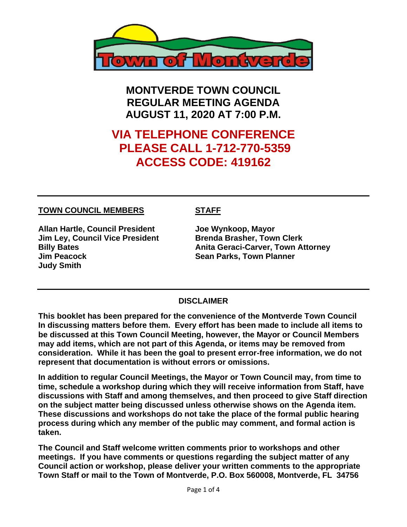

**MONTVERDE TOWN COUNCIL REGULAR MEETING AGENDA AUGUST 11, 2020 AT 7:00 P.M.**

# **VIA TELEPHONE CONFERENCE PLEASE CALL 1-712-770-5359 ACCESS CODE: 419162**

#### **TOWN COUNCIL MEMBERS STAFF**

**Allan Hartle, Council President Joe Wynkoop, Mayor Jim Ley, Council Vice President Brenda Brasher, Town Clerk Jim Peacock Sean Parks, Town Planner Judy Smith** 

**Billy Bates Anita Geraci-Carver, Town Attorney** 

#### **DISCLAIMER**

**This booklet has been prepared for the convenience of the Montverde Town Council In discussing matters before them. Every effort has been made to include all items to be discussed at this Town Council Meeting, however, the Mayor or Council Members may add items, which are not part of this Agenda, or items may be removed from consideration. While it has been the goal to present error-free information, we do not represent that documentation is without errors or omissions.**

**In addition to regular Council Meetings, the Mayor or Town Council may, from time to time, schedule a workshop during which they will receive information from Staff, have discussions with Staff and among themselves, and then proceed to give Staff direction on the subject matter being discussed unless otherwise shows on the Agenda item. These discussions and workshops do not take the place of the formal public hearing process during which any member of the public may comment, and formal action is taken.** 

**The Council and Staff welcome written comments prior to workshops and other meetings. If you have comments or questions regarding the subject matter of any Council action or workshop, please deliver your written comments to the appropriate Town Staff or mail to the Town of Montverde, P.O. Box 560008, Montverde, FL 34756**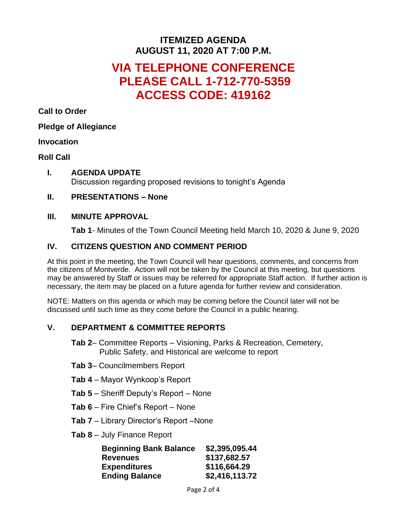# **ITEMIZED AGENDA AUGUST 11, 2020 AT 7:00 P.M.**

# **VIA TELEPHONE CONFERENCE PLEASE CALL 1-712-770-5359 ACCESS CODE: 419162**

**Call to Order**

#### **Pledge of Allegiance**

#### **Invocation**

#### **Roll Call**

**I. AGENDA UPDATE** Discussion regarding proposed revisions to tonight's Agenda

#### **II. PRESENTATIONS – None**

#### **III. MINUTE APPROVAL**

**Tab 1**- Minutes of the Town Council Meeting held March 10, 2020 & June 9, 2020

## **IV. CITIZENS QUESTION AND COMMENT PERIOD**

At this point in the meeting, the Town Council will hear questions, comments, and concerns from the citizens of Montverde. Action will not be taken by the Council at this meeting, but questions may be answered by Staff or issues may be referred for appropriate Staff action. If further action is necessary, the item may be placed on a future agenda for further review and consideration.

NOTE: Matters on this agenda or which may be coming before the Council later will not be discussed until such time as they come before the Council in a public hearing.

### **V. DEPARTMENT & COMMITTEE REPORTS**

- **Tab 2** Committee Reports Visioning, Parks & Recreation, Cemetery, Public Safety, and Historical are welcome to report
- **Tab 3** Councilmembers Report
- **Tab 4** Mayor Wynkoop's Report
- **Tab 5** Sheriff Deputy's Report None
- **Tab 6** Fire Chief's Report None
- **Tab 7** Library Director's Report –None
- **Tab 8** July Finance Report

| <b>Beginning Bank Balance</b> | \$2,395,095.44 |
|-------------------------------|----------------|
| <b>Revenues</b>               | \$137,682.57   |
| <b>Expenditures</b>           | \$116,664.29   |
| <b>Ending Balance</b>         | \$2,416,113.72 |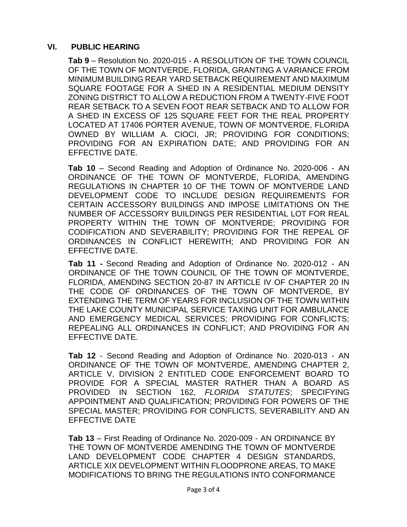#### **VI. PUBLIC HEARING**

**Tab 9** – Resolution No. 2020-015 - A RESOLUTION OF THE TOWN COUNCIL OF THE TOWN OF MONTVERDE, FLORIDA, GRANTING A VARIANCE FROM MINIMUM BUILDING REAR YARD SETBACK REQUIREMENT AND MAXIMUM SQUARE FOOTAGE FOR A SHED IN A RESIDENTIAL MEDIUM DENSITY ZONING DISTRICT TO ALLOW A REDUCTION FROM A TWENTY-FIVE FOOT REAR SETBACK TO A SEVEN FOOT REAR SETBACK AND TO ALLOW FOR A SHED IN EXCESS OF 125 SQUARE FEET FOR THE REAL PROPERTY LOCATED AT 17406 PORTER AVENUE, TOWN OF MONTVERDE, FLORIDA OWNED BY WILLIAM A. CIOCI, JR; PROVIDING FOR CONDITIONS; PROVIDING FOR AN EXPIRATION DATE; AND PROVIDING FOR AN EFFECTIVE DATE.

**Tab 10** – Second Reading and Adoption of Ordinance No. 2020-006 - AN ORDINANCE OF THE TOWN OF MONTVERDE, FLORIDA, AMENDING REGULATIONS IN CHAPTER 10 OF THE TOWN OF MONTVERDE LAND DEVELOPMENT CODE TO INCLUDE DESIGN REQUIREMENTS FOR CERTAIN ACCESSORY BUILDINGS AND IMPOSE LIMITATIONS ON THE NUMBER OF ACCESSORY BUILDINGS PER RESIDENTIAL LOT FOR REAL PROPERTY WITHIN THE TOWN OF MONTVERDE; PROVIDING FOR CODIFICATION AND SEVERABILITY; PROVIDING FOR THE REPEAL OF ORDINANCES IN CONFLICT HEREWITH; AND PROVIDING FOR AN EFFECTIVE DATE.

**Tab 11 -** Second Reading and Adoption of Ordinance No. 2020-012 - AN ORDINANCE OF THE TOWN COUNCIL OF THE TOWN OF MONTVERDE, FLORIDA, AMENDING SECTION 20-87 IN ARTICLE IV OF CHAPTER 20 IN THE CODE OF ORDINANCES OF THE TOWN OF MONTVERDE, BY EXTENDING THE TERM OF YEARS FOR INCLUSION OF THE TOWN WITHIN THE LAKE COUNTY MUNICIPAL SERVICE TAXING UNIT FOR AMBULANCE AND EMERGENCY MEDICAL SERVICES; PROVIDING FOR CONFLICTS; REPEALING ALL ORDINANCES IN CONFLICT; AND PROVIDING FOR AN EFFECTIVE DATE.

**Tab 12** - Second Reading and Adoption of Ordinance No. 2020-013 - AN ORDINANCE OF THE TOWN OF MONTVERDE, AMENDING CHAPTER 2, ARTICLE V, DIVISION 2 ENTITLED CODE ENFORCEMENT BOARD TO PROVIDE FOR A SPECIAL MASTER RATHER THAN A BOARD AS PROVIDED IN SECTION 162, *FLORIDA STATUTES*; SPECIFYING APPOINTMENT AND QUALIFICATION; PROVIDING FOR POWERS OF THE SPECIAL MASTER; PROVIDING FOR CONFLICTS, SEVERABILITY AND AN EFFECTIVE DATE

**Tab 13** – First Reading of Ordinance No. 2020-009 - AN ORDINANCE BY THE TOWN OF MONTVERDE AMENDING THE TOWN OF MONTVERDE LAND DEVELOPMENT CODE CHAPTER 4 DESIGN STANDARDS, ARTICLE XIX DEVELOPMENT WITHIN FLOODPRONE AREAS, TO MAKE MODIFICATIONS TO BRING THE REGULATIONS INTO CONFORMANCE